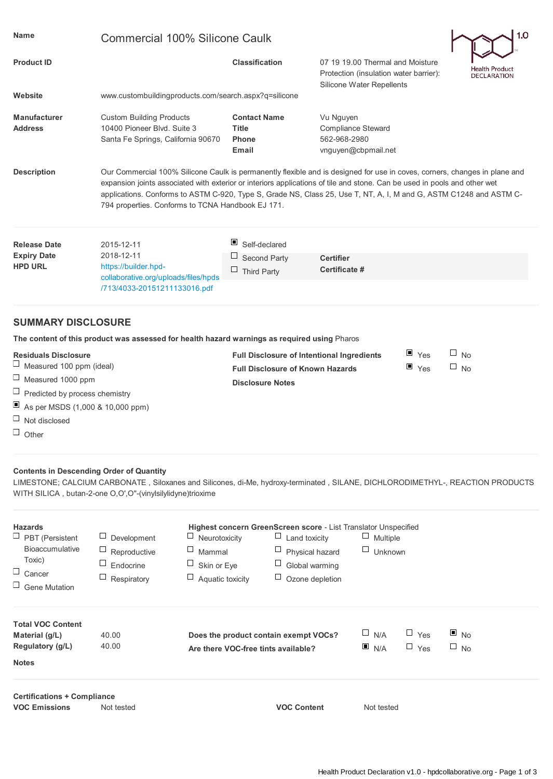| <b>Name</b>                                                                                                                                                                                                     | 1.0<br><b>Commercial 100% Silicone Caulk</b>                                                                                                                                                                                                                                                                                                                                                                                       |                                                                              |                                                                                                                                                                                                            |                                          |                                     |
|-----------------------------------------------------------------------------------------------------------------------------------------------------------------------------------------------------------------|------------------------------------------------------------------------------------------------------------------------------------------------------------------------------------------------------------------------------------------------------------------------------------------------------------------------------------------------------------------------------------------------------------------------------------|------------------------------------------------------------------------------|------------------------------------------------------------------------------------------------------------------------------------------------------------------------------------------------------------|------------------------------------------|-------------------------------------|
| <b>Product ID</b>                                                                                                                                                                                               |                                                                                                                                                                                                                                                                                                                                                                                                                                    | <b>Classification</b>                                                        | 07 19 19.00 Thermal and Moisture<br>Protection (insulation water barrier):                                                                                                                                 |                                          | Health Produc<br><b>DECLARATION</b> |
| Website                                                                                                                                                                                                         | Silicone Water Repellents<br>www.custombuildingproducts.com/search.aspx?q=silicone                                                                                                                                                                                                                                                                                                                                                 |                                                                              |                                                                                                                                                                                                            |                                          |                                     |
| <b>Manufacturer</b><br><b>Address</b>                                                                                                                                                                           | <b>Custom Building Products</b><br>10400 Pioneer Blvd. Suite 3<br>Santa Fe Springs, California 90670                                                                                                                                                                                                                                                                                                                               | <b>Contact Name</b><br><b>Title</b><br><b>Phone</b><br><b>Email</b>          | Vu Nguyen<br>Compliance Steward<br>562-968-2980<br>vnguyen@cbpmail.net                                                                                                                                     |                                          |                                     |
| <b>Description</b>                                                                                                                                                                                              | Our Commercial 100% Silicone Caulk is permanently flexible and is designed for use in coves, corners, changes in plane and<br>expansion joints associated with exterior or interiors applications of tile and stone. Can be used in pools and other wet<br>applications. Conforms to ASTM C-920, Type S, Grade NS, Class 25, Use T, NT, A, I, M and G, ASTM C1248 and ASTM C-<br>794 properties. Conforms to TCNA Handbook EJ 171. |                                                                              |                                                                                                                                                                                                            |                                          |                                     |
| <b>Release Date</b>                                                                                                                                                                                             | 2015-12-11                                                                                                                                                                                                                                                                                                                                                                                                                         | ш<br>Self-declared                                                           |                                                                                                                                                                                                            |                                          |                                     |
| <b>Expiry Date</b><br><b>HPD URL</b>                                                                                                                                                                            | 2018-12-11<br>https://builder.hpd-<br>collaborative.org/uploads/files/hpds                                                                                                                                                                                                                                                                                                                                                         | <b>Second Party</b><br>$\Box$ Third Party                                    | <b>Certifier</b><br>Certificate #                                                                                                                                                                          |                                          |                                     |
|                                                                                                                                                                                                                 | /713/4033-20151211133016.pdf                                                                                                                                                                                                                                                                                                                                                                                                       |                                                                              |                                                                                                                                                                                                            |                                          |                                     |
| <b>SUMMARY DISCLOSURE</b>                                                                                                                                                                                       | The content of this product was assessed for health hazard warnings as required using Pharos                                                                                                                                                                                                                                                                                                                                       |                                                                              |                                                                                                                                                                                                            |                                          |                                     |
| <b>Residuals Disclosure</b><br>⊔<br>Measured 100 ppm (ideal)<br>Ц<br>Measured 1000 ppm<br>⊔<br>Predicted by process chemistry<br>ш<br>As per MSDS (1,000 & 10,000 ppm)<br>⊔<br>Not disclosed<br>$\Box$<br>Other |                                                                                                                                                                                                                                                                                                                                                                                                                                    | <b>Full Disclosure of Known Hazards</b><br><b>Disclosure Notes</b>           | Full Disclosure of Intentional Ingredients                                                                                                                                                                 | $\blacksquare$ Yes<br>$\blacksquare$ Yes | <b>No</b><br>$\Box$ No              |
| <b>Contents in Descending Order of Quantity</b>                                                                                                                                                                 | LIMESTONE; CALCIUM CARBONATE, Siloxanes and Silicones, di-Me, hydroxy-terminated, SILANE, DICHLORODIMETHYL-, REACTION PRODUCTS<br>WITH SILICA, butan-2-one O,O',O"-(vinylsilylidyne)trioxime                                                                                                                                                                                                                                       |                                                                              |                                                                                                                                                                                                            |                                          |                                     |
| <b>Hazards</b><br>$\Box$ PBT (Persistent<br>Bioaccumulative<br>Toxic)<br>⊔<br>Cancer<br>Ц<br><b>Gene Mutation</b>                                                                                               | Neurotoxicity<br>Development<br>Mammal<br>Reproductive<br>Endocrine<br>Skin or Eye<br>⊔<br>$\Box$ Aquatic toxicity<br>Respiratory                                                                                                                                                                                                                                                                                                  | Ц                                                                            | Highest concern GreenScreen score - List Translator Unspecified<br>$\Box$ Land toxicity<br>$\Box$<br>Multiple<br>$\Box$ Physical hazard<br>$\sqcup$<br>Unknown<br>Global warming<br>$\Box$ Ozone depletion |                                          |                                     |
| <b>Total VOC Content</b><br>Material (g/L)<br>Regulatory (g/L)<br><b>Notes</b>                                                                                                                                  | 40.00<br>40.00                                                                                                                                                                                                                                                                                                                                                                                                                     | Does the product contain exempt VOCs?<br>Are there VOC-free tints available? | $\sqcup$<br>N/A<br>N/A                                                                                                                                                                                     | $\Box$ Yes<br>$\Box$ Yes                 | ▣<br><b>No</b><br>$\Box$ No         |
| <b>Certifications + Compliance</b><br><b>VOC Emissions</b>                                                                                                                                                      | Not tested                                                                                                                                                                                                                                                                                                                                                                                                                         |                                                                              | <b>VOC Content</b><br>Not tested                                                                                                                                                                           |                                          |                                     |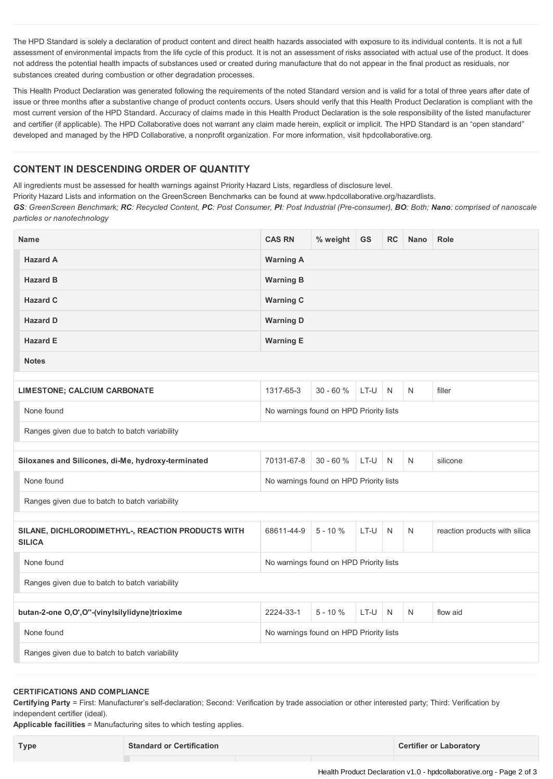The HPD Standard is solely a declaration of product content and direct health hazards associated with exposure to its individual contents. It is not a full assessment of environmental impacts from the life cycle of this product. It is not an assessment of risks associated with actual use of the product. It does not address the potential health impacts of substances used or created during manufacture that do not appear in the final product as residuals, nor substances created during combustion or other degradation processes.

This Health Product Declaration was generated following the requirements of the noted Standard version and is valid for a total of three years after date of issue or three months after a substantive change of product contents occurs. Users should verify that this Health Product Declaration is compliant with the most current version of the HPD Standard. Accuracy of claims made in this Health Product Declaration is the sole responsibility of the listed manufacturer and certifier (if applicable). The HPD Collaborative does not warrant any claim made herein, explicit or implicit. The HPD Standard is an "open standard" developed and managed by the HPD Collaborative, a nonprofit organization. For more information, visit hpdcollaborative.org.

## **CONTENT IN DESCENDING ORDER OF QUANTITY**

All ingredients must be assessed for health warnings against Priority Hazard Lists, regardless of disclosure level.

Priority Hazard Lists and information on the GreenScreen Benchmarks can be found at www.hpdcollaborative.org/hazardlists.

GS: GreenScreen Benchmark; RC: Recycled Content, PC: Post Consumer, PI: Post Industrial (Pre-consumer), BO: Both; Nano: comprised of nanoscale *particles or nanotechnology*

| <b>Name</b>                                                        | <b>CAS RN</b>                           | % weight     | GS     | <b>RC</b>    | Nano | <b>Role</b>                   |
|--------------------------------------------------------------------|-----------------------------------------|--------------|--------|--------------|------|-------------------------------|
| <b>Hazard A</b>                                                    | <b>Warning A</b>                        |              |        |              |      |                               |
| <b>Hazard B</b>                                                    | <b>Warning B</b>                        |              |        |              |      |                               |
| <b>Hazard C</b>                                                    | <b>Warning C</b>                        |              |        |              |      |                               |
| <b>Hazard D</b>                                                    | <b>Warning D</b>                        |              |        |              |      |                               |
| <b>Hazard E</b>                                                    | <b>Warning E</b>                        |              |        |              |      |                               |
| <b>Notes</b>                                                       |                                         |              |        |              |      |                               |
| <b>LIMESTONE; CALCIUM CARBONATE</b>                                | 1317-65-3                               | $30 - 60%$   | LT-U   | N            | N    | filler                        |
| None found<br>No warnings found on HPD Priority lists              |                                         |              |        |              |      |                               |
| Ranges given due to batch to batch variability                     |                                         |              |        |              |      |                               |
|                                                                    |                                         |              |        |              |      |                               |
| Siloxanes and Silicones, di-Me, hydroxy-terminated                 | 70131-67-8                              | $30 - 60 \%$ | $LT-U$ | <sup>N</sup> | N    | silicone                      |
| None found                                                         | No warnings found on HPD Priority lists |              |        |              |      |                               |
| Ranges given due to batch to batch variability                     |                                         |              |        |              |      |                               |
|                                                                    |                                         |              |        |              |      |                               |
| SILANE, DICHLORODIMETHYL-, REACTION PRODUCTS WITH<br><b>SILICA</b> | 68611-44-9                              | $5 - 10%$    | LT-U   | N            | N    | reaction products with silica |
| None found<br>No warnings found on HPD Priority lists              |                                         |              |        |              |      |                               |
| Ranges given due to batch to batch variability                     |                                         |              |        |              |      |                               |
|                                                                    |                                         |              |        |              |      |                               |
| butan-2-one O,O',O"-(vinylsilylidyne)trioxime                      | 2224-33-1                               | $5 - 10 \%$  | LT-U   | N            | N    | flow aid                      |
| None found                                                         | No warnings found on HPD Priority lists |              |        |              |      |                               |
| Ranges given due to batch to batch variability                     |                                         |              |        |              |      |                               |

## **CERTIFICATIONS AND COMPLIANCE**

**Certifying Party** = First: Manufacturer's self-declaration; Second: Verification by trade association or other interested party; Third: Verification by independent certifier (ideal).

**Applicable facilities** = Manufacturing sites to which testing applies.

| <b>Type</b> | <b>Standard or Certification</b> | <b>Certifier or Laboratory</b> |
|-------------|----------------------------------|--------------------------------|
|-------------|----------------------------------|--------------------------------|